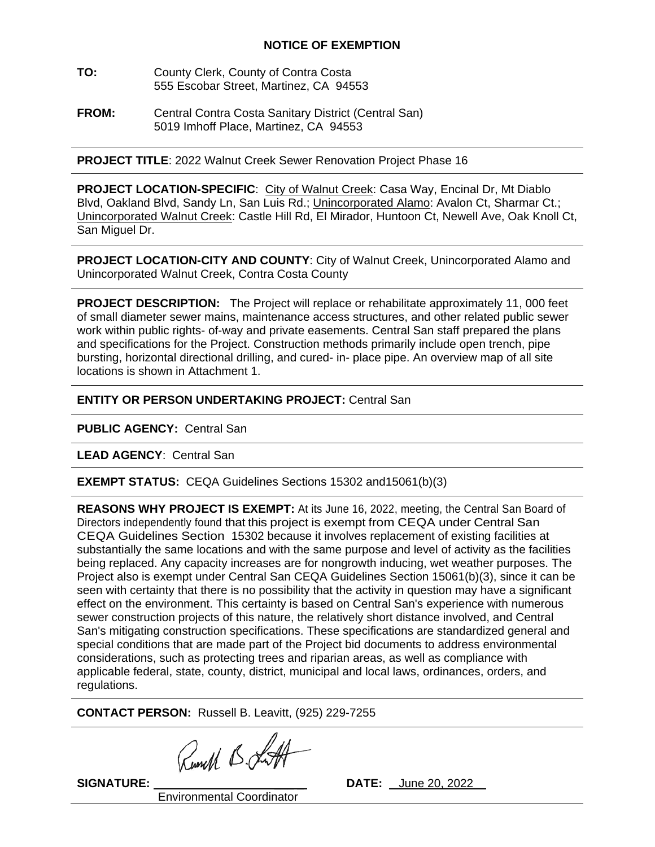## **NOTICE OF EXEMPTION**

- **TO:** County Clerk, County of Contra Costa 555 Escobar Street, Martinez, CA 94553
- **FROM:** Central Contra Costa Sanitary District (Central San) 5019 Imhoff Place, Martinez, CA 94553

**PROJECT TITLE**: 2022 Walnut Creek Sewer Renovation Project Phase 16

**PROJECT LOCATION-SPECIFIC**: City of Walnut Creek: Casa Way, Encinal Dr, Mt Diablo Blvd, Oakland Blvd, Sandy Ln, San Luis Rd.; Unincorporated Alamo: Avalon Ct, Sharmar Ct.; Unincorporated Walnut Creek: Castle Hill Rd, El Mirador, Huntoon Ct, Newell Ave, Oak Knoll Ct, San Miguel Dr.

**PROJECT LOCATION-CITY AND COUNTY**: City of Walnut Creek, Unincorporated Alamo and Unincorporated Walnut Creek, Contra Costa County

**PROJECT DESCRIPTION:** The Project will replace or rehabilitate approximately 11, 000 feet of small diameter sewer mains, maintenance access structures, and other related public sewer work within public rights- of-way and private easements. Central San staff prepared the plans and specifications for the Project. Construction methods primarily include open trench, pipe bursting, horizontal directional drilling, and cured- in- place pipe. An overview map of all site locations is shown in Attachment 1.

## **ENTITY OR PERSON UNDERTAKING PROJECT:** Central San

**PUBLIC AGENCY:** Central San

**LEAD AGENCY**: Central San

**EXEMPT STATUS:** CEQA Guidelines Sections 15302 and15061(b)(3)

**REASONS WHY PROJECT IS EXEMPT:** At its June 16, 2022, meeting, the Central San Board of Directors independently found that this project is exempt from CEQA under Central San CEQA Guidelines Section 15302 because it involves replacement of existing facilities at substantially the same locations and with the same purpose and level of activity as the facilities being replaced. Any capacity increases are for nongrowth inducing, wet weather purposes. The Project also is exempt under Central San CEQA Guidelines Section 15061(b)(3), since it can be seen with certainty that there is no possibility that the activity in question may have a significant effect on the environment. This certainty is based on Central San's experience with numerous sewer construction projects of this nature, the relatively short distance involved, and Central San's mitigating construction specifications. These specifications are standardized general and special conditions that are made part of the Project bid documents to address environmental considerations, such as protecting trees and riparian areas, as well as compliance with applicable federal, state, county, district, municipal and local laws, ordinances, orders, and regulations.

**CONTACT PERSON:** Russell B. Leavitt, (925) 229-7255

Runch B. Lutt

Environmental Coordinator

**SIGNATURE:** \_\_\_ \_ **DATE:** June 20, 2022